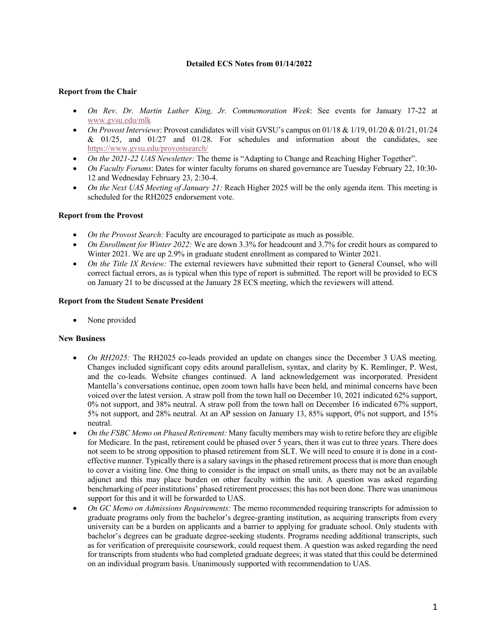### **Detailed ECS Notes from 01/14/2022**

## **Report from the Chair**

- *On Rev*. *Dr. Martin Luther King, Jr. Commemoration Week*: See events for January 17-22 at www.gvsu.edu/mlk
- *On Provost Interviews*: Provost candidates will visit GVSU's campus on 01/18 & 1/19, 01/20 & 01/21, 01/24 & 01/25, and 01/27 and 01/28. For schedules and information about the candidates, see https://www.gvsu.edu/provostsearch/
- *On the 2021-22 UAS Newsletter:* The theme is "Adapting to Change and Reaching Higher Together".
- *On Faculty Forums*: Dates for winter faculty forums on shared governance are Tuesday February 22, 10:30- 12 and Wednesday February 23, 2:30-4.
- *On the Next UAS Meeting of January 21:* Reach Higher 2025 will be the only agenda item. This meeting is scheduled for the RH2025 endorsement vote.

## **Report from the Provost**

- *On the Provost Search:* Faculty are encouraged to participate as much as possible.
- *On Enrollment for Winter 2022:* We are down 3.3% for headcount and 3.7% for credit hours as compared to Winter 2021. We are up 2.9% in graduate student enrollment as compared to Winter 2021.
- *On the Title IX Review:* The external reviewers have submitted their report to General Counsel, who will correct factual errors, as is typical when this type of report is submitted. The report will be provided to ECS on January 21 to be discussed at the January 28 ECS meeting, which the reviewers will attend.

## **Report from the Student Senate President**

None provided

# **New Business**

- *On RH2025:* The RH2025 co-leads provided an update on changes since the December 3 UAS meeting. Changes included significant copy edits around parallelism, syntax, and clarity by K. Remlinger, P. West, and the co-leads. Website changes continued. A land acknowledgement was incorporated. President Mantella's conversations continue, open zoom town halls have been held, and minimal concerns have been voiced over the latest version. A straw poll from the town hall on December 10, 2021 indicated 62% support, 0% not support, and 38% neutral. A straw poll from the town hall on December 16 indicated 67% support, 5% not support, and 28% neutral. At an AP session on January 13, 85% support, 0% not support, and 15% neutral.
- *On the FSBC Memo on Phased Retirement:* Many faculty members may wish to retire before they are eligible for Medicare. In the past, retirement could be phased over 5 years, then it was cut to three years. There does not seem to be strong opposition to phased retirement from SLT. We will need to ensure it is done in a costeffective manner. Typically there is a salary savings in the phased retirement process that is more than enough to cover a visiting line. One thing to consider is the impact on small units, as there may not be an available adjunct and this may place burden on other faculty within the unit. A question was asked regarding benchmarking of peer institutions' phased retirement processes; this has not been done. There was unanimous support for this and it will be forwarded to UAS.
- *On GC Memo on Admissions Requirements:* The memo recommended requiring transcripts for admission to graduate programs only from the bachelor's degree-granting institution, as acquiring transcripts from every university can be a burden on applicants and a barrier to applying for graduate school. Only students with bachelor's degrees can be graduate degree-seeking students. Programs needing additional transcripts, such as for verification of prerequisite coursework, could request them. A question was asked regarding the need for transcripts from students who had completed graduate degrees; it was stated that this could be determined on an individual program basis. Unanimously supported with recommendation to UAS.